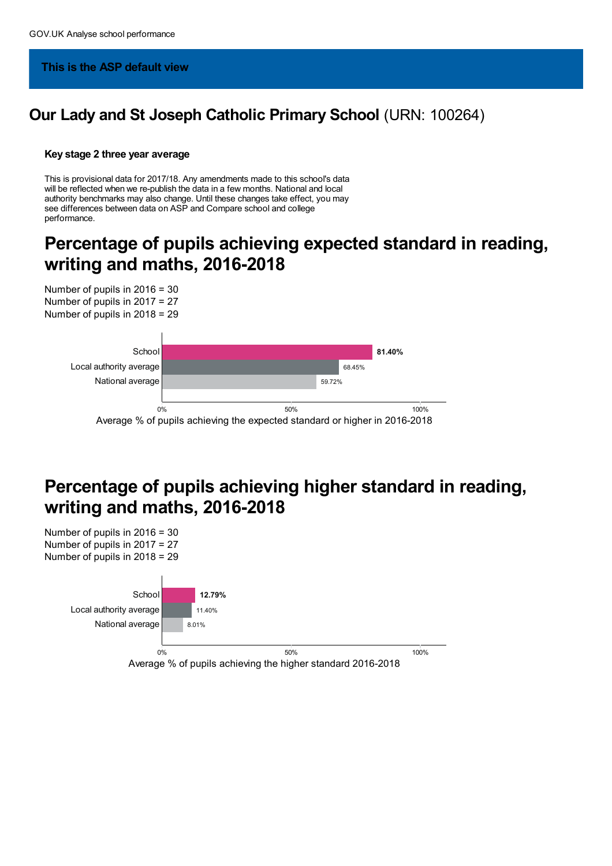### **This is the ASP default view**

## **Our Lady and St Joseph Catholic Primary School** (URN: 100264)

#### **Key stage 2 three year average**

This is provisional data for 2017/18. Any amendments made to this school's data will be reflected when we re-publish the data in a few months. National and local authority benchmarks may also change. Until these changes take effect, you may see differences between data on ASP and Compare school and college performance.

## **Percentage of pupils achieving expected standard in reading, writing and maths, 2016-2018**



# **Percentage of pupils achieving higher standard in reading, writing and maths, 2016-2018**